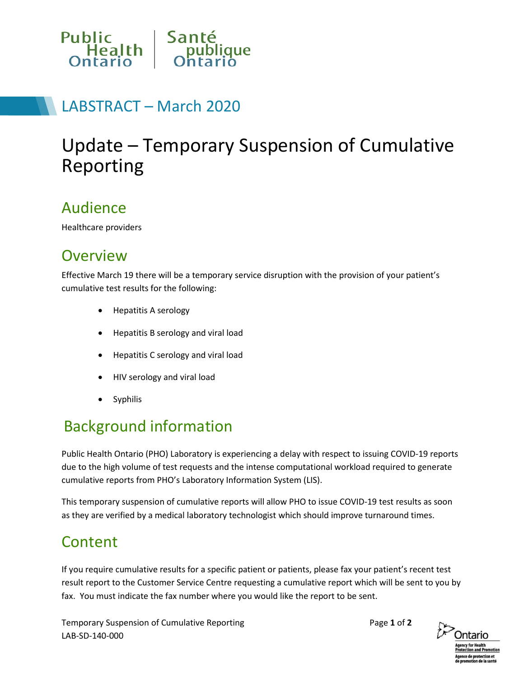

# LABSTRACT – March 2020

# Update – Temporary Suspension of Cumulative Reporting

#### Audience

Healthcare providers

#### **Overview**

Effective March 19 there will be a temporary service disruption with the provision of your patient's cumulative test results for the following:

- Hepatitis A serology
- Hepatitis B serology and viral load
- Hepatitis C serology and viral load
- HIV serology and viral load
- **Syphilis**

### Background information

Public Health Ontario (PHO) Laboratory is experiencing a delay with respect to issuing COVID-19 reports due to the high volume of test requests and the intense computational workload required to generate cumulative reports from PHO's Laboratory Information System (LIS).

This temporary suspension of cumulative reports will allow PHO to issue COVID-19 test results as soon as they are verified by a medical laboratory technologist which should improve turnaround times.

#### Content

If you require cumulative results for a specific patient or patients, please fax your patient's recent test result report to the Customer Service Centre requesting a cumulative report which will be sent to you by fax. You must indicate the fax number where you would like the report to be sent.